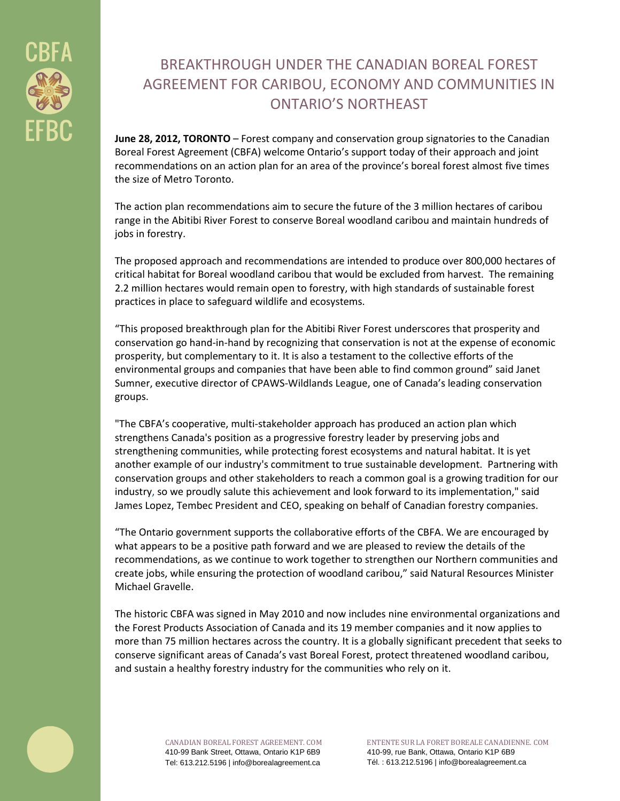

# BREAKTHROUGH UNDER THE CANADIAN BOREAL FOREST AGREEMENT FOR CARIBOU, ECONOMY AND COMMUNITIES IN ONTARIO'S NORTHEAST

**June 28, 2012, TORONTO** – Forest company and conservation group signatories to the Canadian Boreal Forest Agreement (CBFA) welcome Ontario's support today of their approach and joint recommendations on an action plan for an area of the province's boreal forest almost five times the size of Metro Toronto.

The action plan recommendations aim to secure the future of the 3 million hectares of caribou range in the Abitibi River Forest to conserve Boreal woodland caribou and maintain hundreds of jobs in forestry.

The proposed approach and recommendations are intended to produce over 800,000 hectares of critical habitat for Boreal woodland caribou that would be excluded from harvest. The remaining 2.2 million hectares would remain open to forestry, with high standards of sustainable forest practices in place to safeguard wildlife and ecosystems.

"This proposed breakthrough plan for the Abitibi River Forest underscores that prosperity and conservation go hand-in-hand by recognizing that conservation is not at the expense of economic prosperity, but complementary to it. It is also a testament to the collective efforts of the environmental groups and companies that have been able to find common ground" said Janet Sumner, executive director of CPAWS-Wildlands League, one of Canada's leading conservation groups.

"The CBFA's cooperative, multi-stakeholder approach has produced an action plan which strengthens Canada's position as a progressive forestry leader by preserving jobs and strengthening communities, while protecting forest ecosystems and natural habitat. It is yet another example of our industry's commitment to true sustainable development. Partnering with conservation groups and other stakeholders to reach a common goal is a growing tradition for our industry, so we proudly salute this achievement and look forward to its implementation," said James Lopez, Tembec President and CEO, speaking on behalf of Canadian forestry companies.

"The Ontario government supports the collaborative efforts of the CBFA. We are encouraged by what appears to be a positive path forward and we are pleased to review the details of the recommendations, as we continue to work together to strengthen our Northern communities and create jobs, while ensuring the protection of woodland caribou," said Natural Resources Minister Michael Gravelle.

The historic CBFA was signed in May 2010 and now includes nine environmental organizations and the Forest Products Association of Canada and its 19 member companies and it now applies to more than 75 million hectares across the country. It is a globally significant precedent that seeks to conserve significant areas of Canada's vast Boreal Forest, protect threatened woodland caribou, and sustain a healthy forestry industry for the communities who rely on it.



ENTENTE SUR LA FORET BOREALE CANADIENNE. COM 410-99, rue Bank, Ottawa, Ontario K1P 6B9 Tél. : 613.212.5196 | info@borealagreement.ca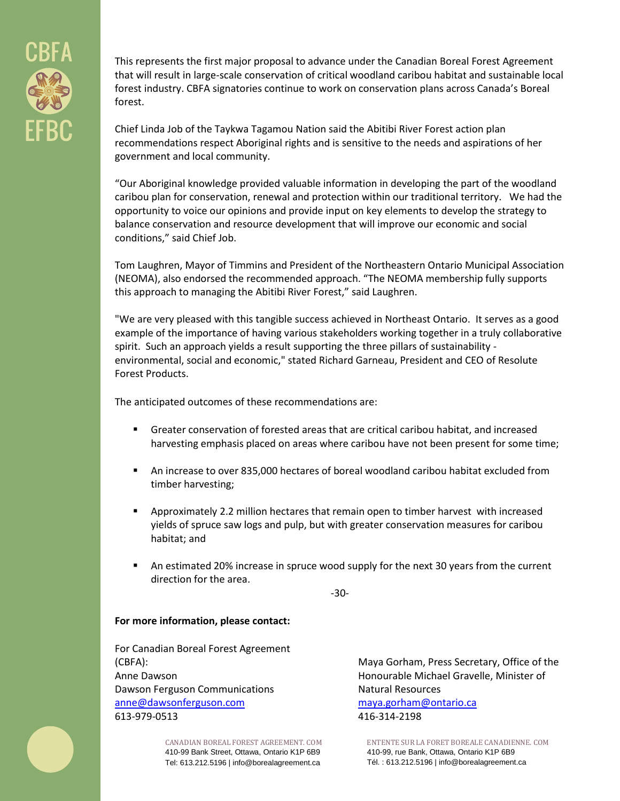

This represents the first major proposal to advance under the Canadian Boreal Forest Agreement that will result in large-scale conservation of critical woodland caribou habitat and sustainable local forest industry. CBFA signatories continue to work on conservation plans across Canada's Boreal forest.

Chief Linda Job of the Taykwa Tagamou Nation said the Abitibi River Forest action plan recommendations respect Aboriginal rights and is sensitive to the needs and aspirations of her government and local community.

"Our Aboriginal knowledge provided valuable information in developing the part of the woodland caribou plan for conservation, renewal and protection within our traditional territory. We had the opportunity to voice our opinions and provide input on key elements to develop the strategy to balance conservation and resource development that will improve our economic and social conditions," said Chief Job.

Tom Laughren, Mayor of Timmins and President of the Northeastern Ontario Municipal Association (NEOMA), also endorsed the recommended approach. "The NEOMA membership fully supports this approach to managing the Abitibi River Forest," said Laughren.

"We are very pleased with this tangible success achieved in Northeast Ontario. It serves as a good example of the importance of having various stakeholders working together in a truly collaborative spirit. Such an approach yields a result supporting the three pillars of sustainability environmental, social and economic," stated Richard Garneau, President and CEO of Resolute Forest Products.

The anticipated outcomes of these recommendations are:

- Greater conservation of forested areas that are critical caribou habitat, and increased harvesting emphasis placed on areas where caribou have not been present for some time;
- An increase to over 835,000 hectares of boreal woodland caribou habitat excluded from timber harvesting;
- Approximately 2.2 million hectares that remain open to timber harvest with increased yields of spruce saw logs and pulp, but with greater conservation measures for caribou habitat; and
- **A** An estimated 20% increase in spruce wood supply for the next 30 years from the current direction for the area.

-30-

#### **For more information, please contact:**

For Canadian Boreal Forest Agreement (CBFA): Anne Dawson Dawson Ferguson Communications [anne@dawsonferguson.com](mailto:anne@dawsonferguson.com) 613-979-0513

> CANADIAN BOREAL FOREST AGREEMENT. COM 410-99 Bank Street, Ottawa, Ontario K1P 6B9 Tel: 613.212.5196 | info@borealagreement.ca

Maya Gorham, Press Secretary, Office of the Honourable Michael Gravelle, Minister of Natural Resources [maya.gorham@ontario.ca](mailto:maya.gorham@ontario.ca) 416-314-2198

ENTENTE SUR LA FORET BOREALE CANADIENNE. COM 410-99, rue Bank, Ottawa, Ontario K1P 6B9 Tél. : 613.212.5196 | info@borealagreement.ca